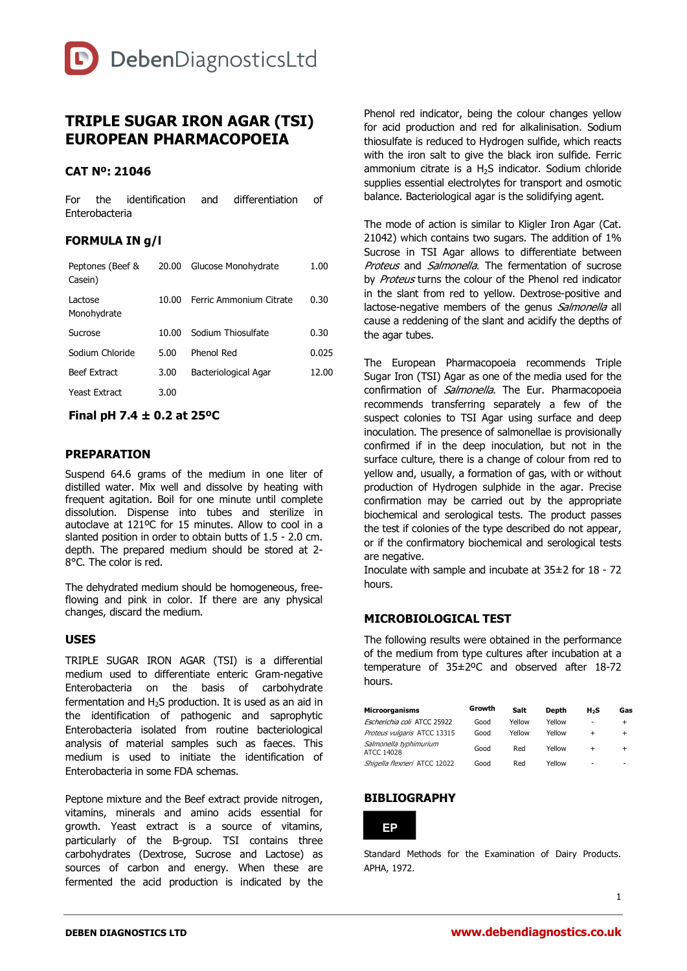

# **TRIPLE SUGAR IRON AGAR (TSI) EUROPEAN PHARMACOPOEIA**

## **CAT Nº: 21046**

For the identification and differentiation of Enterobacteria

# **FORMULA IN g/l**

| Peptones (Beef &<br>Casein) | 20.00 | Glucose Monohydrate     | 1.00  |
|-----------------------------|-------|-------------------------|-------|
| Lactose<br>Monohydrate      | 10.00 | Ferric Ammonium Citrate | 0.30  |
| Sucrose                     | 10.00 | Sodium Thiosulfate      | 0.30  |
| Sodium Chloride             | 5.00  | Phenol Red              | 0.025 |
| <b>Beef Extract</b>         | 3.00  | Bacteriological Agar    | 12.00 |
| Yeast Extract               | 3.00  |                         |       |

## **Final pH 7.4 ± 0.2 at 25ºC**

#### **PREPARATION**

Suspend 64.6 grams of the medium in one liter of distilled water. Mix well and dissolve by heating with frequent agitation. Boil for one minute until complete dissolution. Dispense into tubes and sterilize in autoclave at 121ºC for 15 minutes. Allow to cool in a slanted position in order to obtain butts of 1.5 - 2.0 cm. depth. The prepared medium should be stored at 2- 8°C. The color is red.

The dehydrated medium should be homogeneous, freeflowing and pink in color. If there are any physical changes, discard the medium.

#### **USES**

TRIPLE SUGAR IRON AGAR (TSI) is a differential medium used to differentiate enteric Gram-negative Enterobacteria on the basis of carbohydrate fermentation and  $H<sub>2</sub>S$  production. It is used as an aid in the identification of pathogenic and saprophytic Enterobacteria isolated from routine bacteriological analysis of material samples such as faeces. This medium is used to initiate the identification of Enterobacteria in some FDA schemas.

Peptone mixture and the Beef extract provide nitrogen, vitamins, minerals and amino acids essential for growth. Yeast extract is a source of vitamins, particularly of the B-group. TSI contains three carbohydrates (Dextrose, Sucrose and Lactose) as sources of carbon and energy. When these are fermented the acid production is indicated by the

Phenol red indicator, being the colour changes yellow for acid production and red for alkalinisation. Sodium thiosulfate is reduced to Hydrogen sulfide, which reacts with the iron salt to give the black iron sulfide. Ferric ammonium citrate is a H<sub>2</sub>S indicator. Sodium chloride supplies essential electrolytes for transport and osmotic balance. Bacteriological agar is the solidifying agent.

The mode of action is similar to Kligler Iron Agar (Cat. 21042) which contains two sugars. The addition of 1% Sucrose in TSI Agar allows to differentiate between Proteus and Salmonella. The fermentation of sucrose by Proteus turns the colour of the Phenol red indicator in the slant from red to yellow. Dextrose-positive and lactose-negative members of the genus Salmonella all cause a reddening of the slant and acidify the depths of the agar tubes.

The European Pharmacopoeia recommends Triple Sugar Iron (TSI) Agar as one of the media used for the confirmation of *Salmonella*. The Eur. Pharmacopoeia recommends transferring separately a few of the suspect colonies to TSI Agar using surface and deep inoculation. The presence of salmonellae is provisionally confirmed if in the deep inoculation, but not in the surface culture, there is a change of colour from red to yellow and, usually, a formation of gas, with or without production of Hydrogen sulphide in the agar. Precise confirmation may be carried out by the appropriate biochemical and serological tests. The product passes the test if colonies of the type described do not appear, or if the confirmatory biochemical and serological tests are negative.

Inoculate with sample and incubate at 35±2 for 18 - 72 hours.

### **MICROBIOLOGICAL TEST**

The following results were obtained in the performance of the medium from type cultures after incubation at a temperature of 35±2ºC and observed after 18-72 hours.

| <b>Microorganisms</b>                | Growth | Salt   | Depth  | H <sub>2</sub> S | Gas       |
|--------------------------------------|--------|--------|--------|------------------|-----------|
| Escherichia coli ATCC 25922          | Good   | Yellow | Yellow | ٠                | $\ddot{}$ |
| Proteus vulgaris ATCC 13315          | Good   | Yellow | Yellow | $\ddot{}$        | $\ddot{}$ |
| Salmonella typhimurium<br>ATCC 14028 | Good   | Red    | Yellow | $\ddot{}$        | $\ddot{}$ |
| Shigella flexneri ATCC 12022         | Good   | Red    | Yellow | ٠                |           |

## **BIBLIOGRAPHY**

**EP**

Standard Methods for the Examination of Dairy Products. APHA, 1972.